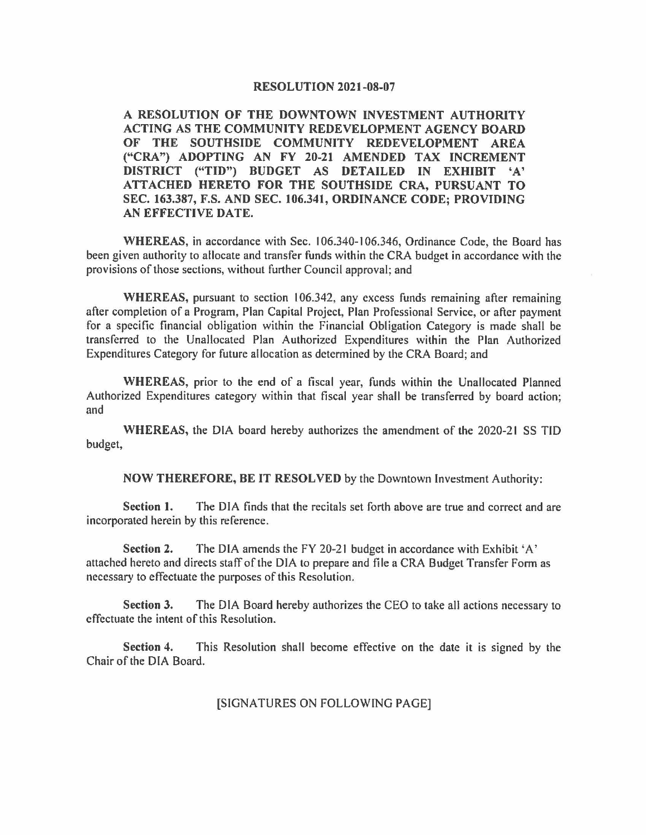#### **RESOLUTION 2021-08-07**

**A RESOLUTION OF THE DOWNTOWN INVESTMENT AUTHORITY ACTING AS THE COMMUNITY REDEVELOPMENT AGENCY BOARD OF THE SOUTHSIDE COMMUNITY REDEVELOPMENT AREA ("CRA") ADOPTING AN FY 20-21 AMENDED TAX INCREMENT DISTRICT ("TID") BUDGET AS DETAILED IN EXHIBIT 'A' ATTACHED HERETO FOR THE SOUTHSIDE CRA, PURSUANT TO SEC. 163.387, F.S. AND SEC. 106.341, ORDINANCE CODE; PROVIDING AN EFFECTIVE DATE.** 

**WHEREAS,** in accordance with Sec. I 06.340-106.346, Ordinance Code, the Board has been given authority to allocate and transfer funds within the CRA budget in accordance with the provisions of those sections, without further Council approval; and

WHEREAS, pursuant to section 106.342, any excess funds remaining after remaining after completion of a Program, Plan Capital Project, Plan Professional Service, or after payment for a specific financial obligation within the Financial Obligation Category is made shall be transferred to the Unallocated Plan Authorized Expenditures within the Plan Authorized Expenditures Category for future allocation as determined by the CRA Board; and

**WHEREAS,** prior to the end of a fiscal year, funds within the Unallocated Planned Authorized Expenditures category within that fiscal year shall be transferred by board action; and

**WHEREAS,** the DIA board hereby authorizes the amendment of the 2020-21 SS TID budget,

**NOW THEREFORE, BE IT RESOLVED** by the Downtown Investment Authority:

**Section** I. The DIA finds that the recitals set forth above are true and correct and are incorporated herein by this reference.

**Section 2.** The DIA amends the FY 20-21 budget in accordance with Exhibit 'A' attached hereto and directs staff of the DIA to prepare and tile a CRA Budget Transfer Form as necessary to effectuate the purposes of this Resolution.

**Section 3.** The DIA Board hereby authorizes the CEO to take all actions necessary to effectuate the intent of this Resolution.

**Section 4.** This Resolution shall become effective on the date it is signed by the Chair of the DIA Board.

### [SIGNATURES ON FOLLOWING PAGE]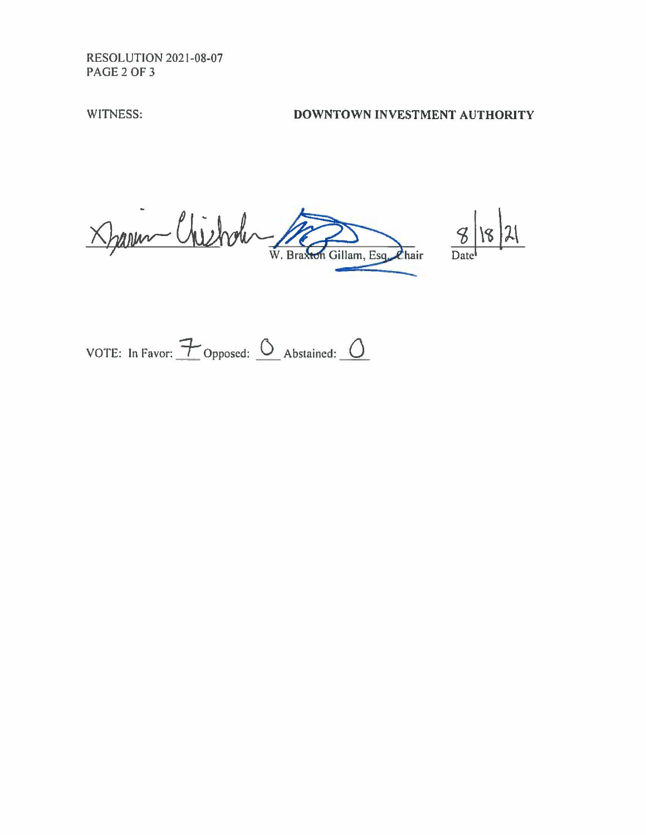RESOLUTION 2021-08-07 PAGE2OF3

# WITNESS: **DOWNTOWN INVESTMENT AUTHORITY**

Darm Chichole W. Bra: hair Date<sup>t</sup>

 $8$  18 21

VOTE: In Favor:  $\overline{\mathcal{F}}$  Opposed:  $\overline{\mathcal{O}}$  Abstained:  $\overline{\mathcal{O}}$